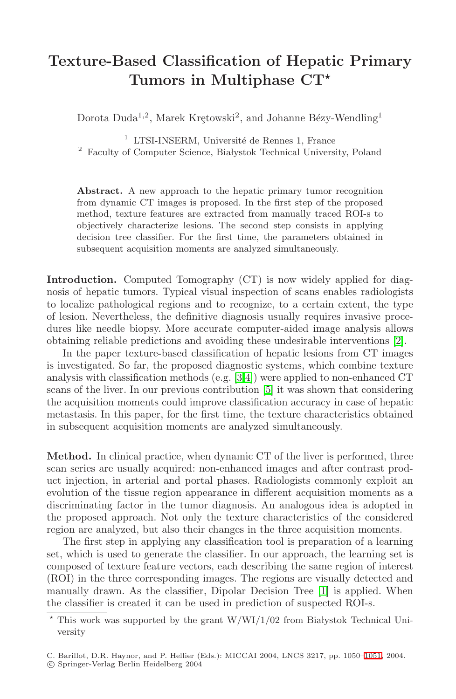## **Texture-Based Classification of Hepatic Primary Tumors in Multiphase CT**

Dorota Duda<sup>1,2</sup>, Marek Krętowski<sup>2</sup>, and Johanne Bézy-Wendling<sup>1</sup>

 $^{\rm 1}$  LTSI-INSERM, Université de Rennes 1, France

<sup>2</sup> Faculty of Computer Science, Bialystok Technical University, Poland

**Abstract.** A new approach to the hepatic primary tumor recognition from dynamic CT images is proposed. In the first step of the proposed method, texture features are extracted from manually traced ROI-s to objectively characterize lesions. The second step consists in applying decision tree classifier. For the first time, the parameters obtained in subsequent acquisition moments are analyzed simultaneously.

Introduction. Computed Tomography (CT) is now widely applied for diagnosis of hepatic tumors. Typical visual inspection of scans enables radiologists to localize pathological regions and to recognize, to a certain extent, the type of lesion. Nevertheless, the definitive diagnosis usually requires invasive procedures like needle biopsy. More accurate computer-aided image analysis allows obtaining reliable predictions and avoiding these undesirable interventions [\[2\]](#page-1-0).

In the paper texture-based classification of hepatic lesions from CT images is investigated. So far, the proposed diagnostic systems, which combine texture analysis with classification methods (e.g. [\[3,4\]](#page-1-0)) were applied to non-enhanced CT scans of the liver. In our previous contribution [\[5\]](#page-1-0) it was shown that considering the acquisition moments could improve classification accuracy in case of hepatic metastasis. In this paper, for the first time, the texture characteristics obtained in subsequent acquisition moments are analyzed simultaneously.

**Method.** In clinical practice, when dynamic CT of the liver is performed, three scan series are usually acquired: non-enhanced images and after contrast product injection, in arterial and portal phases. Radiologists commonly exploit an evolution of the tissue region appearance in different acquisition moments as a discriminating factor in the tumor diagnosis. An analogous idea is adopted in the proposed approach. Not only the texture characteristics of the considered region are analyzed, but also their changes in the three acquisition moments.

The first step in applying any classification tool is preparation of a learning set, which is used to generate the classifier. In our approach, the learning set is composed of texture feature vectors, each describing the same region of interest (ROI) in the three corresponding images. The regions are visually detected and manually drawn. As the classifier, Dipolar Decision Tree [\[1\]](#page-1-0) is applied. When the classifier is created it can be used in prediction of suspected ROI-s.

 $^{\star}$  This work was supported by the grant W/WI/1/02 from Białystok Technical University

C. Barillot, D.R. Haynor, and P. Hellier (Eds.): MICCAI 2004, LNCS 3217, pp. 1050–1051, 2004.

c Springer-Verlag Berlin Heidelberg 2004